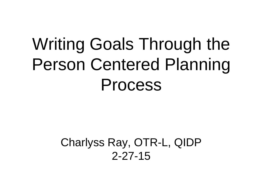# Writing Goals Through the Person Centered Planning Process

#### Charlyss Ray, OTR-L, QIDP 2-27-15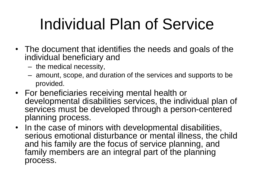# Individual Plan of Service

- The document that identifies the needs and goals of the individual beneficiary and
	- the medical necessity,
	- amount, scope, and duration of the services and supports to be provided.
- For beneficiaries receiving mental health or developmental disabilities services, the individual plan of services must be developed through a person-centered planning process.
- In the case of minors with developmental disabilities, serious emotional disturbance or mental illness, the child and his family are the focus of service planning, and family members are an integral part of the planning process.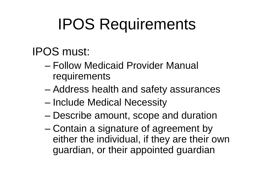# IPOS Requirements

#### IPOS must:

- Follow Medicaid Provider Manual requirements
- Address health and safety assurances
- Include Medical Necessity
- Describe amount, scope and duration
- Contain a signature of agreement by either the individual, if they are their own guardian, or their appointed guardian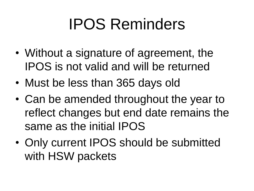# IPOS Reminders

- Without a signature of agreement, the IPOS is not valid and will be returned
- Must be less than 365 days old
- Can be amended throughout the year to reflect changes but end date remains the same as the initial IPOS
- Only current IPOS should be submitted with HSW packets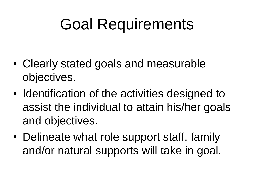## Goal Requirements

- Clearly stated goals and measurable objectives.
- Identification of the activities designed to assist the individual to attain his/her goals and objectives.
- Delineate what role support staff, family and/or natural supports will take in goal.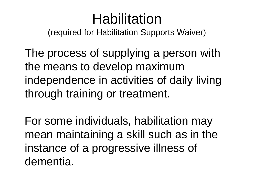#### Habilitation

(required for Habilitation Supports Waiver)

The process of supplying a person with the means to develop maximum independence in activities of daily living through training or treatment.

For some individuals, habilitation may mean maintaining a skill such as in the instance of a progressive illness of dementia.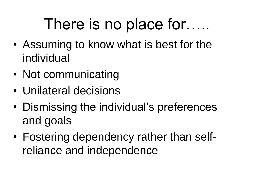## There is no place for…..

- Assuming to know what is best for the individual
- Not communicating
- Unilateral decisions
- Dismissing the individual's preferences and goals
- Fostering dependency rather than selfreliance and independence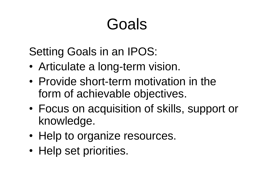# Goals

Setting Goals in an IPOS:

- Articulate a long-term vision.
- Provide short-term motivation in the form of achievable objectives.
- Focus on acquisition of skills, support or knowledge.
- Help to organize resources.
- Help set priorities.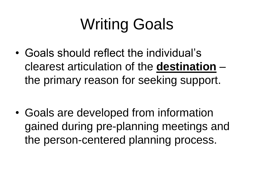# Writing Goals

- Goals should reflect the individual's clearest articulation of the **destination** – the primary reason for seeking support.
- Goals are developed from information gained during pre-planning meetings and the person-centered planning process.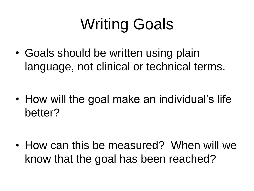# Writing Goals

• Goals should be written using plain language, not clinical or technical terms.

• How will the goal make an individual's life better?

• How can this be measured? When will we know that the goal has been reached?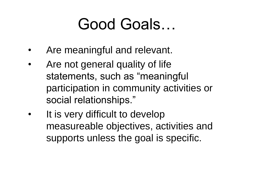## Good Goals…

- Are meaningful and relevant.
- Are not general quality of life statements, such as "meaningful participation in community activities or social relationships."
- It is very difficult to develop measureable objectives, activities and supports unless the goal is specific.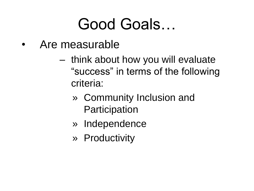### Good Goals…

- Are measurable
	- think about how you will evaluate "success" in terms of the following criteria:
		- » Community Inclusion and **Participation**
		- » Independence
		- » Productivity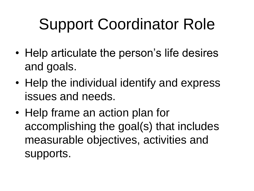# Support Coordinator Role

- Help articulate the person's life desires and goals.
- Help the individual identify and express issues and needs.
- Help frame an action plan for accomplishing the goal(s) that includes measurable objectives, activities and supports.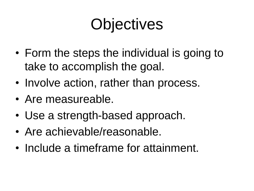# **Objectives**

- Form the steps the individual is going to take to accomplish the goal.
- Involve action, rather than process.
- Are measureable.
- Use a strength-based approach.
- Are achievable/reasonable.
- Include a timeframe for attainment.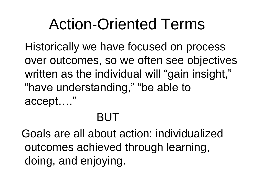## Action-Oriented Terms

Historically we have focused on process over outcomes, so we often see objectives written as the individual will "gain insight," "have understanding," "be able to accept…."

#### BUT

Goals are all about action: individualized outcomes achieved through learning, doing, and enjoying.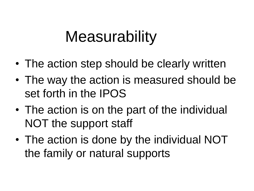#### **Measurability**

- The action step should be clearly written
- The way the action is measured should be set forth in the IPOS
- The action is on the part of the individual NOT the support staff
- The action is done by the individual NOT the family or natural supports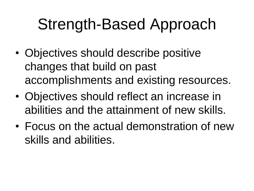# Strength-Based Approach

- Objectives should describe positive changes that build on past accomplishments and existing resources.
- Objectives should reflect an increase in abilities and the attainment of new skills.
- Focus on the actual demonstration of new skills and abilities.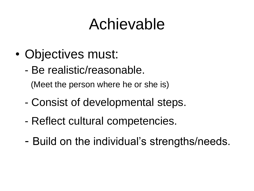## Achievable

- Objectives must:
	- Be realistic/reasonable.

(Meet the person where he or she is)

- Consist of developmental steps.
- Reflect cultural competencies.
- Build on the individual's strengths/needs.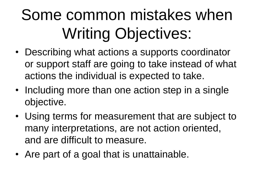# Some common mistakes when Writing Objectives:

- Describing what actions a supports coordinator or support staff are going to take instead of what actions the individual is expected to take.
- Including more than one action step in a single objective.
- Using terms for measurement that are subject to many interpretations, are not action oriented, and are difficult to measure.
- Are part of a goal that is unattainable.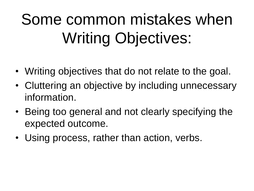# Some common mistakes when Writing Objectives:

- Writing objectives that do not relate to the goal.
- Cluttering an objective by including unnecessary information.
- Being too general and not clearly specifying the expected outcome.
- Using process, rather than action, verbs.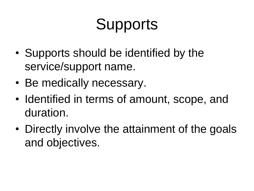# **Supports**

- Supports should be identified by the service/support name.
- Be medically necessary.
- Identified in terms of amount, scope, and duration.
- Directly involve the attainment of the goals and objectives.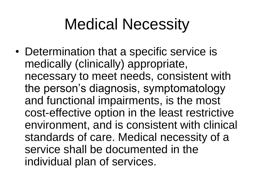## Medical Necessity

• Determination that a specific service is medically (clinically) appropriate, necessary to meet needs, consistent with the person's diagnosis, symptomatology and functional impairments, is the most cost-effective option in the least restrictive environment, and is consistent with clinical standards of care. Medical necessity of a service shall be documented in the individual plan of services.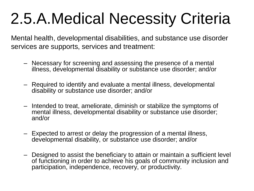# 2.5.A.Medical Necessity Criteria

Mental health, developmental disabilities, and substance use disorder services are supports, services and treatment:

- Necessary for screening and assessing the presence of a mental illness, developmental disability or substance use disorder; and/or
- Required to identify and evaluate a mental illness, developmental disability or substance use disorder; and/or
- Intended to treat, ameliorate, diminish or stabilize the symptoms of mental illness, developmental disability or substance use disorder; and/or
- Expected to arrest or delay the progression of a mental illness, developmental disability, or substance use disorder; and/or
- Designed to assist the beneficiary to attain or maintain a sufficient level of functioning in order to achieve his goals of community inclusion and participation, independence, recovery, or productivity.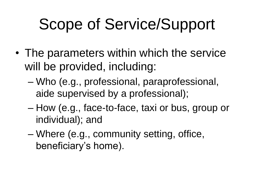# Scope of Service/Support

- The parameters within which the service will be provided, including:
	- Who (e.g., professional, paraprofessional, aide supervised by a professional);
	- How (e.g., face-to-face, taxi or bus, group or individual); and
	- Where (e.g., community setting, office, beneficiary's home).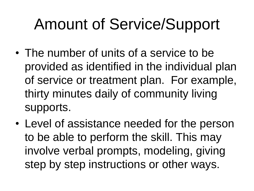# Amount of Service/Support

- The number of units of a service to be provided as identified in the individual plan of service or treatment plan. For example, thirty minutes daily of community living supports.
- Level of assistance needed for the person to be able to perform the skill. This may involve verbal prompts, modeling, giving step by step instructions or other ways.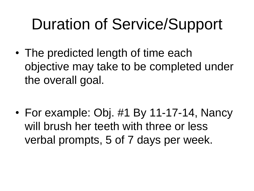# Duration of Service/Support

• The predicted length of time each objective may take to be completed under the overall goal.

• For example: Obj. #1 By 11-17-14, Nancy will brush her teeth with three or less verbal prompts, 5 of 7 days per week.